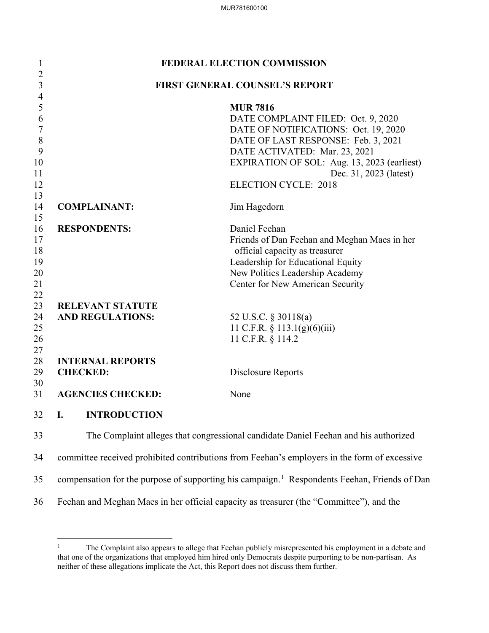| $\mathbf{l}$        | <b>FEDERAL ELECTION COMMISSION</b>    |                                                                                                          |  |  |  |
|---------------------|---------------------------------------|----------------------------------------------------------------------------------------------------------|--|--|--|
| $\overline{2}$<br>3 | <b>FIRST GENERAL COUNSEL'S REPORT</b> |                                                                                                          |  |  |  |
| 4                   |                                       |                                                                                                          |  |  |  |
| 5                   |                                       | <b>MUR 7816</b>                                                                                          |  |  |  |
| 6                   |                                       | DATE COMPLAINT FILED: Oct. 9, 2020                                                                       |  |  |  |
| $\overline{7}$      |                                       | DATE OF NOTIFICATIONS: Oct. 19, 2020                                                                     |  |  |  |
| $\,8\,$             |                                       | DATE OF LAST RESPONSE: Feb. 3, 2021                                                                      |  |  |  |
| 9                   |                                       | DATE ACTIVATED: Mar. 23, 2021                                                                            |  |  |  |
| 10                  |                                       | EXPIRATION OF SOL: Aug. 13, 2023 (earliest)                                                              |  |  |  |
| 11                  |                                       | Dec. 31, 2023 (latest)                                                                                   |  |  |  |
| 12                  |                                       | <b>ELECTION CYCLE: 2018</b>                                                                              |  |  |  |
| 13                  |                                       |                                                                                                          |  |  |  |
| 14                  | <b>COMPLAINANT:</b>                   | Jim Hagedorn                                                                                             |  |  |  |
| 15                  |                                       |                                                                                                          |  |  |  |
| 16                  | <b>RESPONDENTS:</b>                   | Daniel Feehan                                                                                            |  |  |  |
| 17                  |                                       | Friends of Dan Feehan and Meghan Maes in her                                                             |  |  |  |
| 18                  |                                       | official capacity as treasurer                                                                           |  |  |  |
| 19                  |                                       | Leadership for Educational Equity                                                                        |  |  |  |
| 20                  |                                       | New Politics Leadership Academy                                                                          |  |  |  |
| 21                  |                                       | Center for New American Security                                                                         |  |  |  |
| 22                  |                                       |                                                                                                          |  |  |  |
| 23                  | <b>RELEVANT STATUTE</b>               |                                                                                                          |  |  |  |
| 24                  | <b>AND REGULATIONS:</b>               | 52 U.S.C. § 30118(a)                                                                                     |  |  |  |
| 25                  |                                       | 11 C.F.R. $\S$ 113.1(g)(6)(iii)                                                                          |  |  |  |
| 26                  |                                       | 11 C.F.R. § 114.2                                                                                        |  |  |  |
| 27<br>28            | <b>INTERNAL REPORTS</b>               |                                                                                                          |  |  |  |
| 29                  | <b>CHECKED:</b>                       | Disclosure Reports                                                                                       |  |  |  |
| 30                  |                                       |                                                                                                          |  |  |  |
| 31                  | <b>AGENCIES CHECKED:</b>              | None                                                                                                     |  |  |  |
| 32 <b>I.</b>        | <b>INTRODUCTION</b>                   |                                                                                                          |  |  |  |
| 33                  |                                       | The Complaint alleges that congressional candidate Daniel Feehan and his authorized                      |  |  |  |
| 34                  |                                       | committee received prohibited contributions from Feehan's employers in the form of excessive             |  |  |  |
| 35                  |                                       | compensation for the purpose of supporting his campaign. <sup>1</sup> Respondents Feehan, Friends of Dan |  |  |  |

36 Feehan and Meghan Maes in her official capacity as treasurer (the "Committee"), and the

 $\overline{a}$ 

<span id="page-0-0"></span><sup>1</sup> The Complaint also appears to allege that Feehan publicly misrepresented his employment in a debate and that one of the organizations that employed him hired only Democrats despite purporting to be non-partisan. As neither of these allegations implicate the Act, this Report does not discuss them further.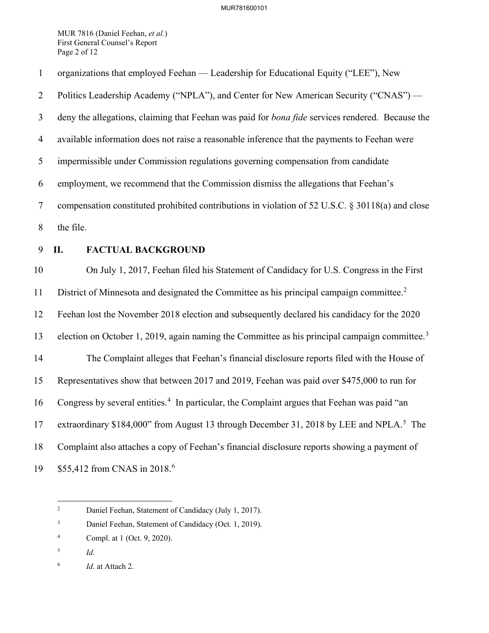MUR 7816 (Daniel Feehan, *et al.*) First General Counsel's Report Page 2 of 12

| $\mathbf{1}$   | organizations that employed Feehan — Leadership for Educational Equity ("LEE"), New                       |
|----------------|-----------------------------------------------------------------------------------------------------------|
| $\overline{2}$ | Politics Leadership Academy ("NPLA"), and Center for New American Security ("CNAS") —                     |
| $\overline{3}$ | deny the allegations, claiming that Feehan was paid for <i>bona fide</i> services rendered. Because the   |
| $\overline{4}$ | available information does not raise a reasonable inference that the payments to Feehan were              |
| 5              | impermissible under Commission regulations governing compensation from candidate                          |
| 6              | employment, we recommend that the Commission dismiss the allegations that Feehan's                        |
| $\tau$         | compensation constituted prohibited contributions in violation of 52 U.S.C. § 30118(a) and close          |
| 8              | the file.                                                                                                 |
| 9              | <b>FACTUAL BACKGROUND</b><br>II.                                                                          |
| 10             | On July 1, 2017, Feehan filed his Statement of Candidacy for U.S. Congress in the First                   |
| 11             | District of Minnesota and designated the Committee as his principal campaign committee. <sup>2</sup>      |
| 12             | Feehan lost the November 2018 election and subsequently declared his candidacy for the 2020               |
| 13             | election on October 1, 2019, again naming the Committee as his principal campaign committee. <sup>3</sup> |
| 14             | The Complaint alleges that Feehan's financial disclosure reports filed with the House of                  |
| 15             | Representatives show that between 2017 and 2019, Feehan was paid over \$475,000 to run for                |
| 16             | Congress by several entities. <sup>4</sup> In particular, the Complaint argues that Feehan was paid "an   |
| 17             | extraordinary \$184,000" from August 13 through December 31, 2018 by LEE and NPLA. <sup>5</sup> The       |
| 18             | Complaint also attaches a copy of Feehan's financial disclosure reports showing a payment of              |
| 19             | \$55,412 from CNAS in 2018. <sup>6</sup>                                                                  |

<span id="page-1-0"></span> $\frac{1}{2}$ Daniel Feehan, Statement of Candidacy (July 1, 2017).

<span id="page-1-1"></span><sup>3</sup> Daniel Feehan, Statement of Candidacy (Oct. 1, 2019).

<span id="page-1-2"></span><sup>4</sup> Compl. at 1 (Oct. 9, 2020).

<span id="page-1-3"></span><sup>5</sup> *Id.*

<span id="page-1-4"></span><sup>6</sup> *Id*. at Attach 2.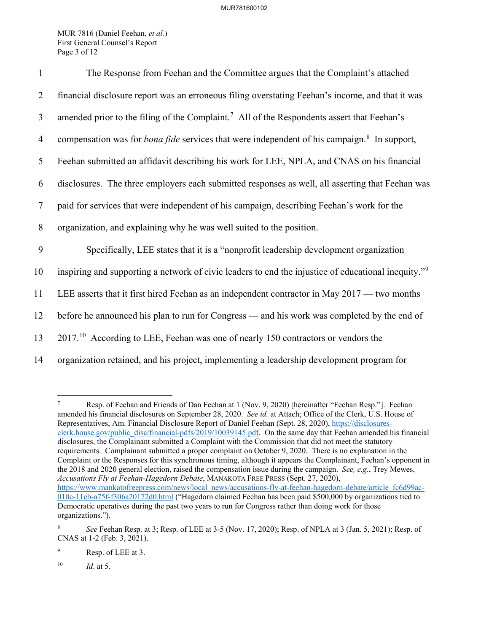MUR 7816 (Daniel Feehan, *et al.*) First General Counsel's Report Page 3 of 12

| $\mathbf{1}$   | The Response from Feehan and the Committee argues that the Complaint's attached                                 |
|----------------|-----------------------------------------------------------------------------------------------------------------|
| $\overline{2}$ | financial disclosure report was an erroneous filing overstating Feehan's income, and that it was                |
| $\mathfrak{Z}$ | amended prior to the filing of the Complaint. <sup>7</sup> All of the Respondents assert that Feehan's          |
| $\overline{4}$ | compensation was for <i>bona fide</i> services that were independent of his campaign. <sup>8</sup> In support,  |
| 5              | Feehan submitted an affidavit describing his work for LEE, NPLA, and CNAS on his financial                      |
| 6              | disclosures. The three employers each submitted responses as well, all asserting that Feehan was                |
| $\tau$         | paid for services that were independent of his campaign, describing Feehan's work for the                       |
| 8              | organization, and explaining why he was well suited to the position.                                            |
| 9              | Specifically, LEE states that it is a "nonprofit leadership development organization                            |
| 10             | inspiring and supporting a network of civic leaders to end the injustice of educational inequity." <sup>9</sup> |
| 11             | LEE asserts that it first hired Feehan as an independent contractor in May 2017 — two months                    |
| 12             | before he announced his plan to run for Congress — and his work was completed by the end of                     |
| 13             | 2017. <sup>10</sup> According to LEE, Feehan was one of nearly 150 contractors or vendors the                   |
| 14             | organization retained, and his project, implementing a leadership development program for                       |

<span id="page-2-0"></span><sup>7</sup> Resp. of Feehan and Friends of Dan Feehan at 1 (Nov. 9, 2020) [hereinafter "Feehan Resp."]. Feehan amended his financial disclosures on September 28, 2020. *See id.* at Attach; Office of the Clerk, U.S. House of Representatives, Am. Financial Disclosure Report of Daniel Feehan (Sept. 28, 2020), [https://disclosures](https://disclosures-clerk.house.gov/public_disc/financial-pdfs/2019/10039145.pdf)[clerk.house.gov/public\\_disc/financial-pdfs/2019/10039145.pdf.](https://disclosures-clerk.house.gov/public_disc/financial-pdfs/2019/10039145.pdf) On the same day that Feehan amended his financial disclosures, the Complainant submitted a Complaint with the Commission that did not meet the statutory requirements. Complainant submitted a proper complaint on October 9, 2020. There is no explanation in the Complaint or the Responses for this synchronous timing, although it appears the Complainant, Feehan's opponent in the 2018 and 2020 general election, raised the compensation issue during the campaign. *See, e.g.*, Trey Mewes, *Accusations Fly at Feehan-Hagedorn Debate*, MANAKOTA FREE PRESS (Sept. 27, 2020), [https://www.mankatofreepress.com/news/local\\_news/accusations-fly-at-feehan-hagedorn-debate/article\\_fc6d99ac-](https://www.mankatofreepress.com/news/local_news/accusations-fly-at-feehan-hagedorn-debate/article_fc6d99ac-010c-11eb-a75f-f306a20172d0.html)[010c-11eb-a75f-f306a20172d0.html](https://www.mankatofreepress.com/news/local_news/accusations-fly-at-feehan-hagedorn-debate/article_fc6d99ac-010c-11eb-a75f-f306a20172d0.html) ("Hagedorn claimed Feehan has been paid \$500,000 by organizations tied to Democratic operatives during the past two years to run for Congress rather than doing work for those organizations.").

 $\overline{a}$ 

<span id="page-2-1"></span><sup>8</sup> *See* Feehan Resp. at 3; Resp. of LEE at 3-5 (Nov. 17, 2020); Resp. of NPLA at 3 (Jan. 5, 2021); Resp. of CNAS at 1-2 (Feb. 3, 2021).

<span id="page-2-2"></span><sup>9</sup> Resp. of LEE at 3.

<span id="page-2-3"></span><sup>10</sup> *Id*. at 5.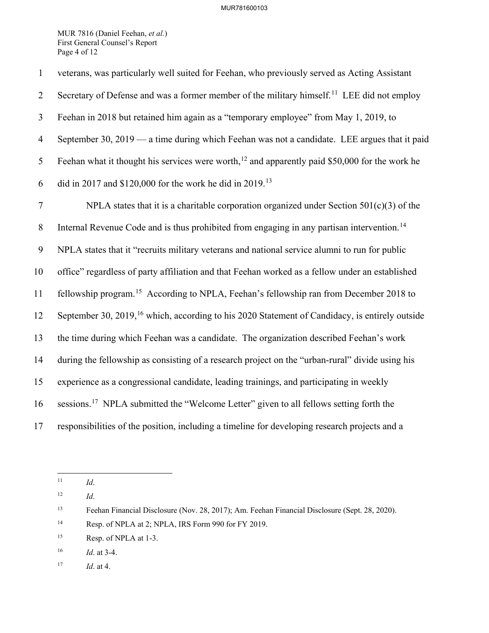#### MUR781600103

MUR 7816 (Daniel Feehan, *et al.*) First General Counsel's Report Page 4 of 12

1 veterans, was particularly well suited for Feehan, who previously served as Acting Assistant Secretary of Defense and was a former member of the military himself.<sup>[11](#page-3-0)</sup> LEE did not employ 3 Feehan in 2018 but retained him again as a "temporary employee" from May 1, 2019, to 4 September 30, 2019 — a time during which Feehan was not a candidate. LEE argues that it paid 5 Feehan what it thought his services were worth,<sup>[12](#page-3-1)</sup> and apparently paid \$50,000 for the work he 6 did in 2017 and \$120,000 for the work he did in 2019.<sup>[13](#page-3-2)</sup> 7 NPLA states that it is a charitable corporation organized under Section 501(c)(3) of the 8 Internal Revenue Code and is thus prohibited from engaging in any partisan intervention.<sup>[14](#page-3-3)</sup> 9 NPLA states that it "recruits military veterans and national service alumni to run for public 10 office" regardless of party affiliation and that Feehan worked as a fellow under an established 11 fellowship program.<sup>[15](#page-3-4)</sup> According to NPLA, Feehan's fellowship ran from December 2018 to 12 September 30, 2019,<sup>[16](#page-3-5)</sup> which, according to his 2020 Statement of Candidacy, is entirely outside 13 the time during which Feehan was a candidate. The organization described Feehan's work 14 during the fellowship as consisting of a research project on the "urban-rural" divide using his 15 experience as a congressional candidate, leading trainings, and participating in weekly 16 sessions.<sup>[17](#page-3-6)</sup> NPLA submitted the "Welcome Letter" given to all fellows setting forth the 17 responsibilities of the position, including a timeline for developing research projects and a

<span id="page-3-0"></span> $11\,$ 11 *Id*.

<span id="page-3-1"></span><sup>12</sup> *Id*.

<span id="page-3-2"></span><sup>13</sup> Feehan Financial Disclosure (Nov. 28, 2017); Am. Feehan Financial Disclosure (Sept. 28, 2020).

<span id="page-3-3"></span><sup>&</sup>lt;sup>14</sup> Resp. of NPLA at 2; NPLA, IRS Form 990 for FY 2019.

<span id="page-3-4"></span><sup>&</sup>lt;sup>15</sup> Resp. of NPLA at 1-3.

<span id="page-3-5"></span><sup>16</sup> *Id*. at 3-4.

<span id="page-3-6"></span><sup>17</sup> *Id*. at 4.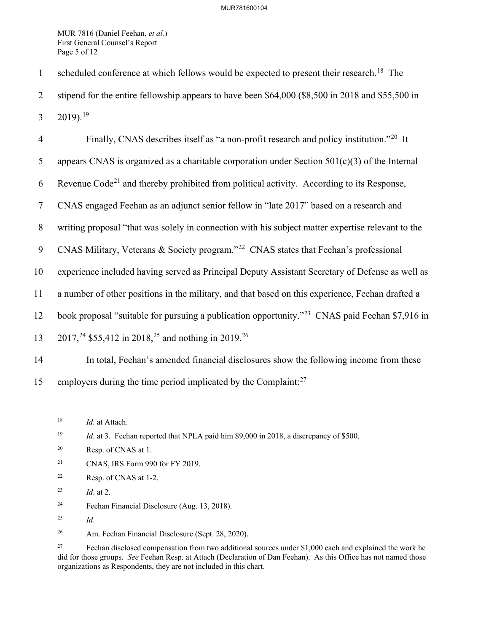## MUR781600104

MUR 7816 (Daniel Feehan, *et al.*) First General Counsel's Report Page 5 of 12

1 scheduled conference at which fellows would be expected to present their research.<sup>[18](#page-4-0)</sup> The 2 stipend for the entire fellowship appears to have been \$64,000 (\$8,500 in 2018 and \$55,500 in 3 20[19](#page-4-1)).<sup>19</sup>

Finally, CNAS describes itself as "a non-profit research and policy institution."[20](#page-4-2) 4 It 5 appears CNAS is organized as a charitable corporation under Section 501(c)(3) of the Internal 6 Revenue Code<sup>[21](#page-4-3)</sup> and thereby prohibited from political activity. According to its Response, 7 CNAS engaged Feehan as an adjunct senior fellow in "late 2017" based on a research and 8 writing proposal "that was solely in connection with his subject matter expertise relevant to the 9 CNAS Military, Veterans & Society program."<sup>[22](#page-4-4)</sup> CNAS states that Feehan's professional 10 experience included having served as Principal Deputy Assistant Secretary of Defense as well as 11 a number of other positions in the military, and that based on this experience, Feehan drafted a 12 book proposal "suitable for pursuing a publication opportunity."<sup>[23](#page-4-5)</sup> CNAS paid Feehan \$7,916 in 13 2017,<sup>24</sup> \$55,412 in 2018,<sup>[25](#page-4-7)</sup> and nothing in 2019.<sup>[26](#page-4-8)</sup> 14 In total, Feehan's amended financial disclosures show the following income from these

<span id="page-4-0"></span>15 employers during the time period implicated by the Complaint: $27$ 

- <span id="page-4-3"></span>21 CNAS, IRS Form 990 for FY 2019.
- <span id="page-4-4"></span>22 Resp. of CNAS at 1-2.
- <span id="page-4-5"></span>23 *Id*. at 2.
- <span id="page-4-6"></span>24 Feehan Financial Disclosure (Aug. 13, 2018).
- <span id="page-4-7"></span>25 *Id*.

<span id="page-4-8"></span>26 Am. Feehan Financial Disclosure (Sept. 28, 2020).

 $\overline{a}$ 18 *Id*. at Attach.

<span id="page-4-1"></span><sup>&</sup>lt;sup>19</sup> *Id.* at 3. Feehan reported that NPLA paid him \$9,000 in 2018, a discrepancy of \$500.

<span id="page-4-2"></span><sup>20</sup> Resp. of CNAS at 1.

<span id="page-4-9"></span><sup>&</sup>lt;sup>27</sup> Feehan disclosed compensation from two additional sources under \$1,000 each and explained the work he did for those groups. *See* Feehan Resp. at Attach (Declaration of Dan Feehan). As this Office has not named those organizations as Respondents, they are not included in this chart.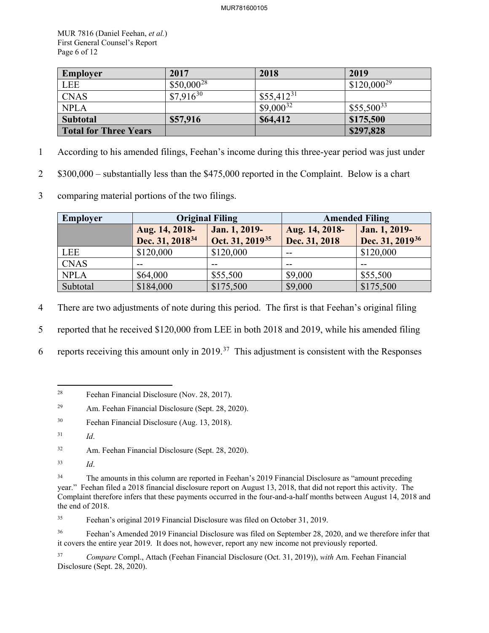MUR 7816 (Daniel Feehan, *et al.*) First General Counsel's Report Page 6 of 12

| <b>Employer</b>              | 2017            | 2018           | 2019            |
|------------------------------|-----------------|----------------|-----------------|
| <b>LEE</b>                   | $$50,000^{28}$$ |                | $$120,000^{29}$ |
| <b>CNAS</b>                  | $$7,916^{30}$   | $$55,412^{31}$ |                 |
| <b>NPLA</b>                  |                 | $$9,000^{32}$  | $$55,500^{33}$  |
| <b>Subtotal</b>              | \$57,916        | \$64,412       | \$175,500       |
| <b>Total for Three Years</b> |                 |                | \$297,828       |

- 1 According to his amended filings, Feehan's income during this three-year period was just under
- 2 \$300,000 substantially less than the \$475,000 reported in the Complaint. Below is a chart
- 3 comparing material portions of the two filings.

| <b>Employer</b> | <b>Original Filing</b>          |                             | <b>Amended Filing</b> |                             |
|-----------------|---------------------------------|-----------------------------|-----------------------|-----------------------------|
|                 | Jan. 1, 2019-<br>Aug. 14, 2018- |                             | Aug. 14, 2018-        | Jan. 1, 2019-               |
|                 | Dec. 31, 2018 <sup>34</sup>     | Oct. 31, 2019 <sup>35</sup> | Dec. 31, 2018         | Dec. 31, 2019 <sup>36</sup> |
| LEE             | \$120,000                       | \$120,000                   | $- -$                 | \$120,000                   |
| <b>CNAS</b>     |                                 |                             | --                    |                             |
| <b>NPLA</b>     | \$64,000                        | \$55,500                    | \$9,000               | \$55,500                    |
| Subtotal        | \$184,000                       | \$175,500                   | \$9,000               | \$175,500                   |

4 There are two adjustments of note during this period. The first is that Feehan's original filing

5 reported that he received \$120,000 from LEE in both 2018 and 2019, while his amended filing

<span id="page-5-0"></span>6 reports receiving this amount only in 2019.<sup>37</sup> This adjustment is consistent with the Responses

<span id="page-5-6"></span><sup>34</sup> The amounts in this column are reported in Feehan's 2019 Financial Disclosure as "amount preceding" year." Feehan filed a 2018 financial disclosure report on August 13, 2018, that did not report this activity. The Complaint therefore infers that these payments occurred in the four-and-a-half months between August 14, 2018 and the end of 2018.

<span id="page-5-7"></span>35 Feehan's original 2019 Financial Disclosure was filed on October 31, 2019.

<span id="page-5-8"></span><sup>36</sup> Feehan's Amended 2019 Financial Disclosure was filed on September 28, 2020, and we therefore infer that it covers the entire year 2019. It does not, however, report any new income not previously reported.

<span id="page-5-9"></span>37 *Compare* Compl., Attach (Feehan Financial Disclosure (Oct. 31, 2019)), *with* Am. Feehan Financial Disclosure (Sept. 28, 2020).

 $\overline{a}$ 28 Feehan Financial Disclosure (Nov. 28, 2017).

<span id="page-5-1"></span><sup>29</sup> Am. Feehan Financial Disclosure (Sept. 28, 2020).

<span id="page-5-2"></span><sup>30</sup> Feehan Financial Disclosure (Aug. 13, 2018).

<span id="page-5-3"></span><sup>31</sup> *Id*.

<span id="page-5-4"></span><sup>32</sup> Am. Feehan Financial Disclosure (Sept. 28, 2020).

<span id="page-5-5"></span><sup>33</sup> *Id*.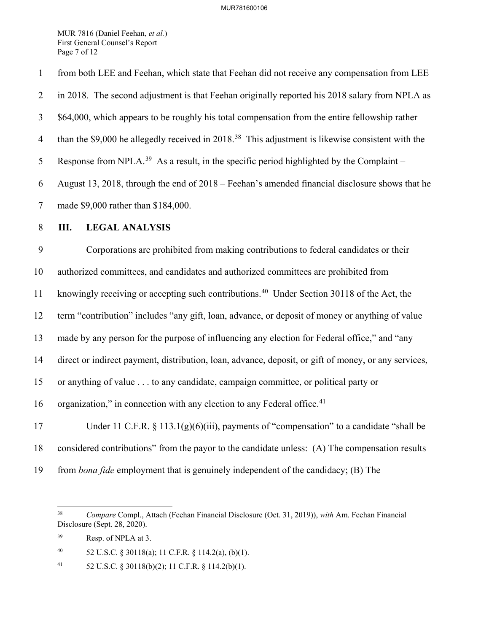#### MUR781600106

MUR 7816 (Daniel Feehan, *et al.*) First General Counsel's Report Page 7 of 12

1 from both LEE and Feehan, which state that Feehan did not receive any compensation from LEE 2 in 2018. The second adjustment is that Feehan originally reported his 2018 salary from NPLA as 3 \$64,000, which appears to be roughly his total compensation from the entire fellowship rather 4 than the \$9,000 he allegedly received in 2018.<sup>[38](#page-6-0)</sup> This adjustment is likewise consistent with the 5 Response from NPLA.<sup>[39](#page-6-1)</sup> As a result, in the specific period highlighted by the Complaint – 6 August 13, 2018, through the end of 2018 – Feehan's amended financial disclosure shows that he 7 made \$9,000 rather than \$184,000. 8 **III. LEGAL ANALYSIS** 9 Corporations are prohibited from making contributions to federal candidates or their 10 authorized committees, and candidates and authorized committees are prohibited from 11 knowingly receiving or accepting such contributions.<sup>[40](#page-6-2)</sup> Under Section 30118 of the Act, the 12 term "contribution" includes "any gift, loan, advance, or deposit of money or anything of value 13 made by any person for the purpose of influencing any election for Federal office," and "any 14 direct or indirect payment, distribution, loan, advance, deposit, or gift of money, or any services, 15 or anything of value . . . to any candidate, campaign committee, or political party or 16 organization," in connection with any election to any Federal office.<sup>[41](#page-6-3)</sup> 17 Under 11 C.F.R. § 113.1(g)(6)(iii), payments of "compensation" to a candidate "shall be 18 considered contributions" from the payor to the candidate unless: (A) The compensation results 19 from *bona fide* employment that is genuinely independent of the candidacy; (B) The

<span id="page-6-0"></span> $38\,$ 38 *Compare* Compl., Attach (Feehan Financial Disclosure (Oct. 31, 2019)), *with* Am. Feehan Financial Disclosure (Sept. 28, 2020).

<span id="page-6-1"></span><sup>39</sup> Resp. of NPLA at 3.

<span id="page-6-2"></span><sup>40 52</sup> U.S.C. § 30118(a); 11 C.F.R. § 114.2(a), (b)(1).

<span id="page-6-3"></span><sup>41 52</sup> U.S.C. § 30118(b)(2); 11 C.F.R. § 114.2(b)(1).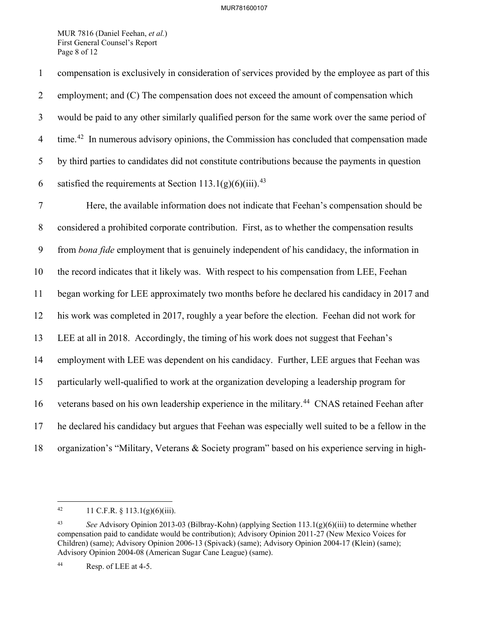MUR 7816 (Daniel Feehan, *et al.*) First General Counsel's Report Page 8 of 12

1 compensation is exclusively in consideration of services provided by the employee as part of this 2 employment; and (C) The compensation does not exceed the amount of compensation which 3 would be paid to any other similarly qualified person for the same work over the same period of 4 time.<sup>[42](#page-7-0)</sup> In numerous advisory opinions, the Commission has concluded that compensation made 5 by third parties to candidates did not constitute contributions because the payments in question 6 satisfied the requirements at Section 113.1(g)(6)(iii).<sup>[43](#page-7-1)</sup> 7 Here, the available information does not indicate that Feehan's compensation should be 8 considered a prohibited corporate contribution. First, as to whether the compensation results 9 from *bona fide* employment that is genuinely independent of his candidacy, the information in 10 the record indicates that it likely was. With respect to his compensation from LEE, Feehan 11 began working for LEE approximately two months before he declared his candidacy in 2017 and 12 his work was completed in 2017, roughly a year before the election. Feehan did not work for 13 LEE at all in 2018. Accordingly, the timing of his work does not suggest that Feehan's 14 employment with LEE was dependent on his candidacy. Further, LEE argues that Feehan was 15 particularly well-qualified to work at the organization developing a leadership program for 16 veterans based on his own leadership experience in the military.<sup>[44](#page-7-2)</sup> CNAS retained Feehan after

17 he declared his candidacy but argues that Feehan was especially well suited to be a fellow in the

18 organization's "Military, Veterans & Society program" based on his experience serving in high-

<span id="page-7-0"></span><sup>42</sup> 11 C.F.R.  $\S$  113.1(g)(6)(iii).

<span id="page-7-1"></span><sup>43</sup> *See* Advisory Opinion 2013-03 (Bilbray-Kohn) (applying Section 113.1(g)(6)(iii) to determine whether compensation paid to candidate would be contribution); Advisory Opinion 2011-27 (New Mexico Voices for Children) (same); Advisory Opinion 2006-13 (Spivack) (same); Advisory Opinion 2004-17 (Klein) (same); Advisory Opinion 2004-08 (American Sugar Cane League) (same).

<span id="page-7-2"></span><sup>44</sup> Resp. of LEE at 4-5.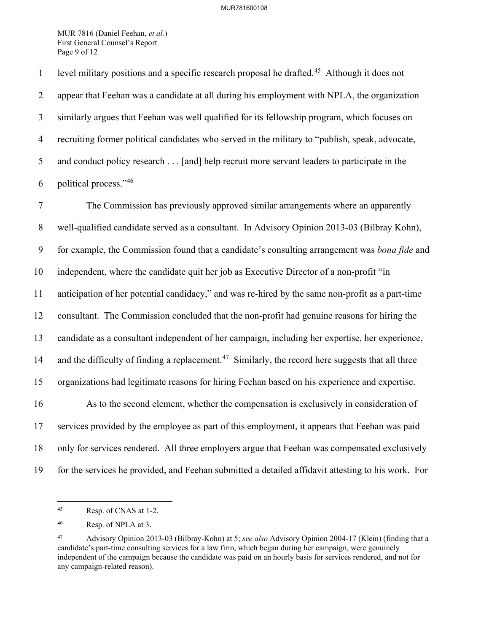### MUR781600108

MUR 7816 (Daniel Feehan, *et al.*) First General Counsel's Report Page 9 of 12

level military positions and a specific research proposal he drafted.<sup>[45](#page-8-0)</sup> Although it does not 2 appear that Feehan was a candidate at all during his employment with NPLA, the organization 3 similarly argues that Feehan was well qualified for its fellowship program, which focuses on 4 recruiting former political candidates who served in the military to "publish, speak, advocate, 5 and conduct policy research . . . [and] help recruit more servant leaders to participate in the 6 political process." $46$ 

7 The Commission has previously approved similar arrangements where an apparently 8 well-qualified candidate served as a consultant. In Advisory Opinion 2013-03 (Bilbray Kohn), 9 for example, the Commission found that a candidate's consulting arrangement was *bona fide* and 10 independent, where the candidate quit her job as Executive Director of a non-profit "in 11 anticipation of her potential candidacy," and was re-hired by the same non-profit as a part-time 12 consultant. The Commission concluded that the non-profit had genuine reasons for hiring the 13 candidate as a consultant independent of her campaign, including her expertise, her experience, 14 and the difficulty of finding a replacement.<sup>[47](#page-8-2)</sup> Similarly, the record here suggests that all three 15 organizations had legitimate reasons for hiring Feehan based on his experience and expertise. 16 As to the second element, whether the compensation is exclusively in consideration of 17 services provided by the employee as part of this employment, it appears that Feehan was paid 18 only for services rendered. All three employers argue that Feehan was compensated exclusively 19 for the services he provided, and Feehan submitted a detailed affidavit attesting to his work. For

<span id="page-8-0"></span> $45\,$ Resp. of CNAS at 1-2.

<span id="page-8-1"></span><sup>46</sup> Resp. of NPLA at 3.

<span id="page-8-2"></span><sup>47</sup> Advisory Opinion 2013-03 (Bilbray-Kohn) at 5; *see also* Advisory Opinion 2004-17 (Klein) (finding that a candidate's part-time consulting services for a law firm, which began during her campaign, were genuinely independent of the campaign because the candidate was paid on an hourly basis for services rendered, and not for any campaign-related reason).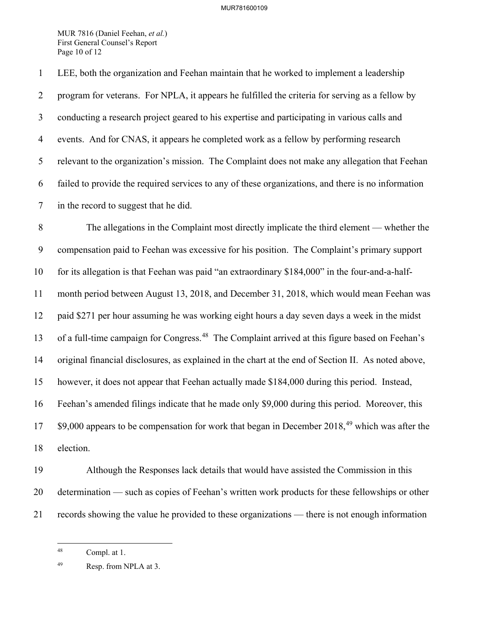MUR 7816 (Daniel Feehan, *et al.*) First General Counsel's Report Page 10 of 12

1 LEE, both the organization and Feehan maintain that he worked to implement a leadership 2 program for veterans. For NPLA, it appears he fulfilled the criteria for serving as a fellow by 3 conducting a research project geared to his expertise and participating in various calls and 4 events. And for CNAS, it appears he completed work as a fellow by performing research 5 relevant to the organization's mission. The Complaint does not make any allegation that Feehan 6 failed to provide the required services to any of these organizations, and there is no information 7 in the record to suggest that he did.

8 The allegations in the Complaint most directly implicate the third element — whether the 9 compensation paid to Feehan was excessive for his position. The Complaint's primary support 10 for its allegation is that Feehan was paid "an extraordinary \$184,000" in the four-and-a-half-11 month period between August 13, 2018, and December 31, 2018, which would mean Feehan was 12 paid \$271 per hour assuming he was working eight hours a day seven days a week in the midst 13 of a full-time campaign for Congress.<sup>[48](#page-9-0)</sup> The Complaint arrived at this figure based on Feehan's 14 original financial disclosures, as explained in the chart at the end of Section II. As noted above, 15 however, it does not appear that Feehan actually made \$184,000 during this period. Instead, 16 Feehan's amended filings indicate that he made only \$9,000 during this period. Moreover, this  $17$  \$9,000 appears to be compensation for work that began in December 2018,<sup>[49](#page-9-1)</sup> which was after the 18 election.

19 Although the Responses lack details that would have assisted the Commission in this 20 determination — such as copies of Feehan's written work products for these fellowships or other 21 records showing the value he provided to these organizations — there is not enough information

 $\overline{a}$ 

<span id="page-9-0"></span><sup>48</sup> Compl. at 1.

<span id="page-9-1"></span><sup>49</sup> Resp. from NPLA at 3.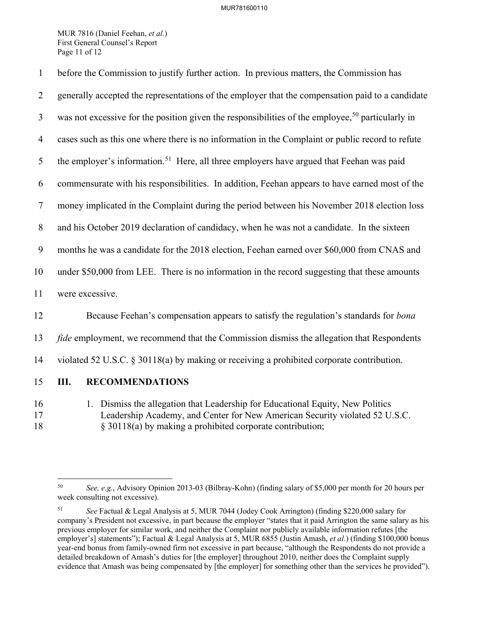MUR 7816 (Daniel Feehan, *et al.*) First General Counsel's Report Page 11 of 12

| $\mathbf{1}$   | before the Commission to justify further action. In previous matters, the Commission has                                                                         |
|----------------|------------------------------------------------------------------------------------------------------------------------------------------------------------------|
| $\overline{2}$ | generally accepted the representations of the employer that the compensation paid to a candidate                                                                 |
| $\mathfrak{Z}$ | was not excessive for the position given the responsibilities of the employee, <sup>50</sup> particularly in                                                     |
| 4              | cases such as this one where there is no information in the Complaint or public record to refute                                                                 |
| 5              | the employer's information. <sup>51</sup> Here, all three employers have argued that Feehan was paid                                                             |
| 6              | commensurate with his responsibilities. In addition, Feehan appears to have earned most of the                                                                   |
| $\tau$         | money implicated in the Complaint during the period between his November 2018 election loss                                                                      |
| 8              | and his October 2019 declaration of candidacy, when he was not a candidate. In the sixteen                                                                       |
| 9              | months he was a candidate for the 2018 election, Feehan earned over \$60,000 from CNAS and                                                                       |
| 10             | under \$50,000 from LEE. There is no information in the record suggesting that these amounts                                                                     |
| 11             | were excessive.                                                                                                                                                  |
| 12             | Because Feehan's compensation appears to satisfy the regulation's standards for <i>bona</i>                                                                      |
| 13             | fide employment, we recommend that the Commission dismiss the allegation that Respondents                                                                        |
| 14             | violated 52 U.S.C. § 30118(a) by making or receiving a prohibited corporate contribution.                                                                        |
| 15             | Ш.<br><b>RECOMMENDATIONS</b>                                                                                                                                     |
| 16<br>17       | Dismiss the allegation that Leadership for Educational Equity, New Politics<br>1.<br>Leadership Academy, and Center for New American Security violated 52 U.S.C. |

18 § 30118(a) by making a prohibited corporate contribution;

<span id="page-10-0"></span> $\overline{a}$ 50 *See, e.g.*, Advisory Opinion 2013-03 (Bilbray-Kohn) (finding salary of \$5,000 per month for 20 hours per week consulting not excessive).

<span id="page-10-1"></span><sup>51</sup> *See* Factual & Legal Analysis at 5, MUR 7044 (Jodey Cook Arrington) (finding \$220,000 salary for company's President not excessive, in part because the employer "states that it paid Arrington the same salary as his previous employer for similar work, and neither the Complaint nor publicly available information refutes [the employer's] statements"); Factual & Legal Analysis at 5, MUR 6855 (Justin Amash, *et al.*) (finding \$100,000 bonus year-end bonus from family-owned firm not excessive in part because, "although the Respondents do not provide a detailed breakdown of Amash's duties for [the employer] throughout 2010, neither does the Complaint supply evidence that Amash was being compensated by [the employer] for something other than the services he provided").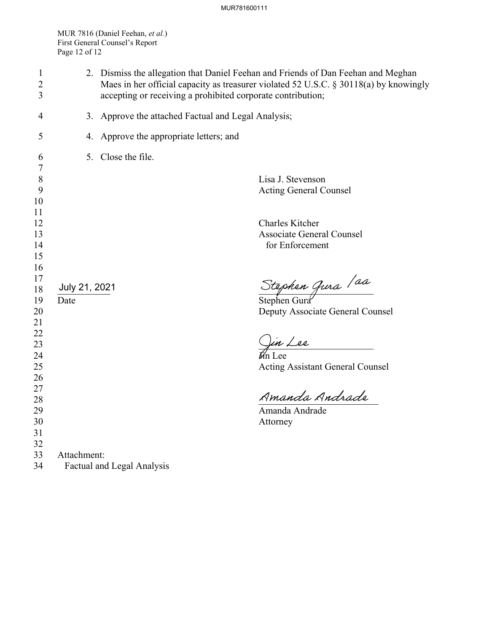MUR 7816 (Daniel Feehan, *et al.*) First General Counsel's Report Page 12 of 12

| $\mathbf{1}$<br>2<br>3         |                                                     | 2. Dismiss the allegation that Daniel Feehan and Friends of Dan Feehan and Meghan<br>Maes in her official capacity as treasurer violated 52 U.S.C. § 30118(a) by knowingly<br>accepting or receiving a prohibited corporate contribution; |  |  |
|--------------------------------|-----------------------------------------------------|-------------------------------------------------------------------------------------------------------------------------------------------------------------------------------------------------------------------------------------------|--|--|
| 4                              | 3. Approve the attached Factual and Legal Analysis; |                                                                                                                                                                                                                                           |  |  |
| 5                              | 4. Approve the appropriate letters; and             |                                                                                                                                                                                                                                           |  |  |
| 6                              | 5. Close the file.                                  |                                                                                                                                                                                                                                           |  |  |
| $\overline{7}$<br>8<br>9<br>10 |                                                     | Lisa J. Stevenson<br><b>Acting General Counsel</b>                                                                                                                                                                                        |  |  |
| 11<br>12<br>13<br>14           |                                                     | Charles Kitcher<br><b>Associate General Counsel</b><br>for Enforcement                                                                                                                                                                    |  |  |
| 15<br>16<br>17<br>18           | July 21, 2021                                       | Stephen Gura / aa<br>Stephen Gura                                                                                                                                                                                                         |  |  |
| 19<br>20<br>21                 | Date                                                | Deputy Associate General Counsel                                                                                                                                                                                                          |  |  |
| 22<br>23<br>24                 |                                                     | Jin Lee<br>in Lee                                                                                                                                                                                                                         |  |  |
| 25<br>26                       |                                                     | <b>Acting Assistant General Counsel</b>                                                                                                                                                                                                   |  |  |
| 27<br>28                       |                                                     | Amanda Andrade                                                                                                                                                                                                                            |  |  |
| 29<br>30<br>31<br>32           |                                                     | Amanda Andrade<br>Attorney                                                                                                                                                                                                                |  |  |
| 33<br>34                       | Attachment:<br><b>Factual and Legal Analysis</b>    |                                                                                                                                                                                                                                           |  |  |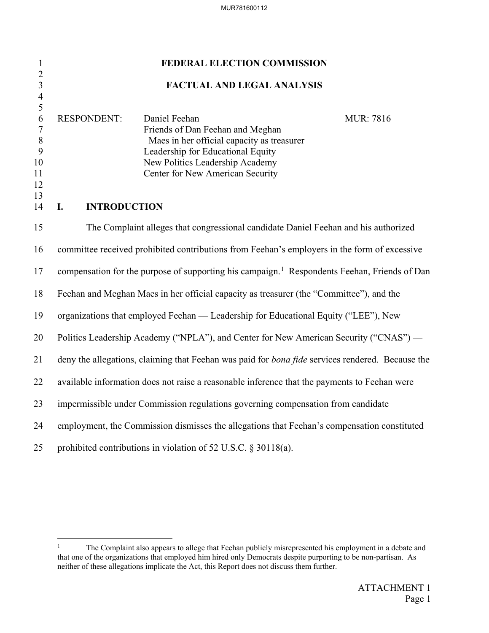| $\mathbf{1}$                                                                        | FEDERAL ELECTION COMMISSION                                                                                                                                                                                                                            |  |  |  |
|-------------------------------------------------------------------------------------|--------------------------------------------------------------------------------------------------------------------------------------------------------------------------------------------------------------------------------------------------------|--|--|--|
| $\overline{c}$<br>$\overline{\mathbf{3}}$                                           | <b>FACTUAL AND LEGAL ANALYSIS</b>                                                                                                                                                                                                                      |  |  |  |
| $\overline{\mathcal{L}}$<br>5<br>6<br>$\tau$<br>$\, 8$<br>9<br>10<br>11<br>12<br>13 | Daniel Feehan<br><b>RESPONDENT:</b><br><b>MUR</b> : 7816<br>Friends of Dan Feehan and Meghan<br>Maes in her official capacity as treasurer<br>Leadership for Educational Equity<br>New Politics Leadership Academy<br>Center for New American Security |  |  |  |
| 14                                                                                  | I.<br><b>INTRODUCTION</b>                                                                                                                                                                                                                              |  |  |  |
| 15                                                                                  | The Complaint alleges that congressional candidate Daniel Feehan and his authorized                                                                                                                                                                    |  |  |  |
| 16                                                                                  | committee received prohibited contributions from Feehan's employers in the form of excessive                                                                                                                                                           |  |  |  |
| 17                                                                                  | compensation for the purpose of supporting his campaign. <sup>1</sup> Respondents Feehan, Friends of Dan                                                                                                                                               |  |  |  |
| 18                                                                                  | Feehan and Meghan Maes in her official capacity as treasurer (the "Committee"), and the                                                                                                                                                                |  |  |  |
| 19                                                                                  | organizations that employed Feehan — Leadership for Educational Equity ("LEE"), New                                                                                                                                                                    |  |  |  |
| 20                                                                                  | Politics Leadership Academy ("NPLA"), and Center for New American Security ("CNAS") —                                                                                                                                                                  |  |  |  |
| 21                                                                                  | deny the allegations, claiming that Feehan was paid for bona fide services rendered. Because the                                                                                                                                                       |  |  |  |
| 22                                                                                  | available information does not raise a reasonable inference that the payments to Feehan were                                                                                                                                                           |  |  |  |
| 23                                                                                  | impermissible under Commission regulations governing compensation from candidate                                                                                                                                                                       |  |  |  |
| 24                                                                                  | employment, the Commission dismisses the allegations that Feehan's compensation constituted                                                                                                                                                            |  |  |  |
| 25                                                                                  | prohibited contributions in violation of 52 U.S.C. § 30118(a).                                                                                                                                                                                         |  |  |  |

<span id="page-12-0"></span><sup>&</sup>lt;sup>1</sup> The Complaint also appears to allege that Feehan publicly misrepresented his employment in a debate and that one of the organizations that employed him hired only Democrats despite purporting to be non-partisan. As neither of these allegations implicate the Act, this Report does not discuss them further.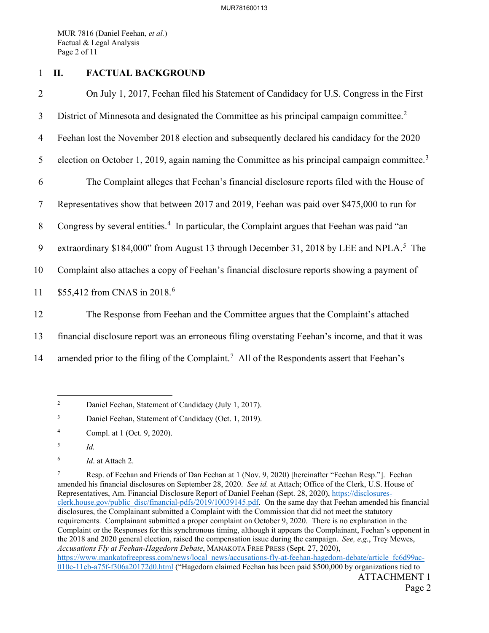MUR 7816 (Daniel Feehan, *et al.*) Factual & Legal Analysis Page 2 of 11

# 1 **II. FACTUAL BACKGROUND**

| $\overline{2}$ | On July 1, 2017, Feehan filed his Statement of Candidacy for U.S. Congress in the First                   |
|----------------|-----------------------------------------------------------------------------------------------------------|
| 3              | District of Minnesota and designated the Committee as his principal campaign committee. <sup>2</sup>      |
| 4              | Feehan lost the November 2018 election and subsequently declared his candidacy for the 2020               |
| 5              | election on October 1, 2019, again naming the Committee as his principal campaign committee. <sup>3</sup> |
| 6              | The Complaint alleges that Feehan's financial disclosure reports filed with the House of                  |
| 7              | Representatives show that between 2017 and 2019, Feehan was paid over \$475,000 to run for                |
| 8              | Congress by several entities. <sup>4</sup> In particular, the Complaint argues that Feehan was paid "an   |
| 9              | extraordinary \$184,000" from August 13 through December 31, 2018 by LEE and NPLA. <sup>5</sup> The       |
| 10             | Complaint also attaches a copy of Feehan's financial disclosure reports showing a payment of              |
| 11             | \$55,412 from CNAS in 2018. <sup>6</sup>                                                                  |
| 12             | The Response from Feehan and the Committee argues that the Complaint's attached                           |
| 13             | financial disclosure report was an erroneous filing overstating Feehan's income, and that it was          |

<span id="page-13-0"></span>14 amended prior to the filing of the Complaint.<sup>[7](#page-13-5)</sup> All of the Respondents assert that Feehan's

 $\frac{1}{2}$ Daniel Feehan, Statement of Candidacy (July 1, 2017).

<span id="page-13-1"></span><sup>3</sup> Daniel Feehan, Statement of Candidacy (Oct. 1, 2019).

<span id="page-13-2"></span><sup>4</sup> Compl. at 1 (Oct. 9, 2020).

<span id="page-13-3"></span><sup>5</sup> *Id.*

<span id="page-13-4"></span><sup>6</sup> *Id*. at Attach 2.

<span id="page-13-5"></span>ATTACHMENT 1 7 Resp. of Feehan and Friends of Dan Feehan at 1 (Nov. 9, 2020) [hereinafter "Feehan Resp."]. Feehan amended his financial disclosures on September 28, 2020. *See id.* at Attach; Office of the Clerk, U.S. House of Representatives, Am. Financial Disclosure Report of Daniel Feehan (Sept. 28, 2020), [https://disclosures](https://disclosures-clerk.house.gov/public_disc/financial-pdfs/2019/10039145.pdf)[clerk.house.gov/public\\_disc/financial-pdfs/2019/10039145.pdf.](https://disclosures-clerk.house.gov/public_disc/financial-pdfs/2019/10039145.pdf) On the same day that Feehan amended his financial disclosures, the Complainant submitted a Complaint with the Commission that did not meet the statutory requirements. Complainant submitted a proper complaint on October 9, 2020. There is no explanation in the Complaint or the Responses for this synchronous timing, although it appears the Complainant, Feehan's opponent in the 2018 and 2020 general election, raised the compensation issue during the campaign. *See, e.g.*, Trey Mewes, *Accusations Fly at Feehan-Hagedorn Debate*, MANAKOTA FREE PRESS (Sept. 27, 2020), [https://www.mankatofreepress.com/news/local\\_news/accusations-fly-at-feehan-hagedorn-debate/article\\_fc6d99ac-](https://www.mankatofreepress.com/news/local_news/accusations-fly-at-feehan-hagedorn-debate/article_fc6d99ac-010c-11eb-a75f-f306a20172d0.html)[010c-11eb-a75f-f306a20172d0.html](https://www.mankatofreepress.com/news/local_news/accusations-fly-at-feehan-hagedorn-debate/article_fc6d99ac-010c-11eb-a75f-f306a20172d0.html) ("Hagedorn claimed Feehan has been paid \$500,000 by organizations tied to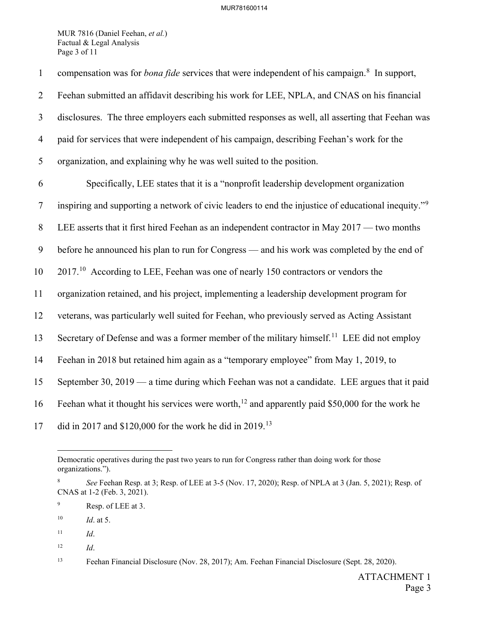MUR 7816 (Daniel Feehan, *et al.*) Factual & Legal Analysis Page 3 of 11

| $\mathbf{1}$   | compensation was for <i>bona fide</i> services that were independent of his campaign. <sup>8</sup> In support,  |
|----------------|-----------------------------------------------------------------------------------------------------------------|
| $\overline{2}$ | Feehan submitted an affidavit describing his work for LEE, NPLA, and CNAS on his financial                      |
| 3              | disclosures. The three employers each submitted responses as well, all asserting that Feehan was                |
| $\overline{4}$ | paid for services that were independent of his campaign, describing Feehan's work for the                       |
| 5              | organization, and explaining why he was well suited to the position.                                            |
| 6              | Specifically, LEE states that it is a "nonprofit leadership development organization                            |
| $\tau$         | inspiring and supporting a network of civic leaders to end the injustice of educational inequity." <sup>9</sup> |
| 8              | LEE asserts that it first hired Feehan as an independent contractor in May 2017 — two months                    |
| 9              | before he announced his plan to run for Congress — and his work was completed by the end of                     |
| 10             | $201710$ According to LEE, Feehan was one of nearly 150 contractors or vendors the                              |
| 11             | organization retained, and his project, implementing a leadership development program for                       |
| 12             | veterans, was particularly well suited for Feehan, who previously served as Acting Assistant                    |
| 13             | Secretary of Defense and was a former member of the military himself. <sup>11</sup> LEE did not employ          |
| 14             | Feehan in 2018 but retained him again as a "temporary employee" from May 1, 2019, to                            |
| 15             | September 30, 2019 — a time during which Feehan was not a candidate. LEE argues that it paid                    |
| 16             | Feehan what it thought his services were worth, <sup>12</sup> and apparently paid \$50,000 for the work he      |
| 17             | did in 2017 and \$120,000 for the work he did in 2019. <sup>13</sup>                                            |

 $\overline{a}$ Democratic operatives during the past two years to run for Congress rather than doing work for those organizations.").

<span id="page-14-4"></span>12 *Id*.

<span id="page-14-0"></span><sup>8</sup> *See* Feehan Resp. at 3; Resp. of LEE at 3-5 (Nov. 17, 2020); Resp. of NPLA at 3 (Jan. 5, 2021); Resp. of CNAS at 1-2 (Feb. 3, 2021).

<span id="page-14-1"></span><sup>9</sup> Resp. of LEE at 3.

<span id="page-14-2"></span><sup>10</sup> *Id*. at 5.

<span id="page-14-3"></span> $11$  *Id.* 

<span id="page-14-5"></span><sup>13</sup> Feehan Financial Disclosure (Nov. 28, 2017); Am. Feehan Financial Disclosure (Sept. 28, 2020).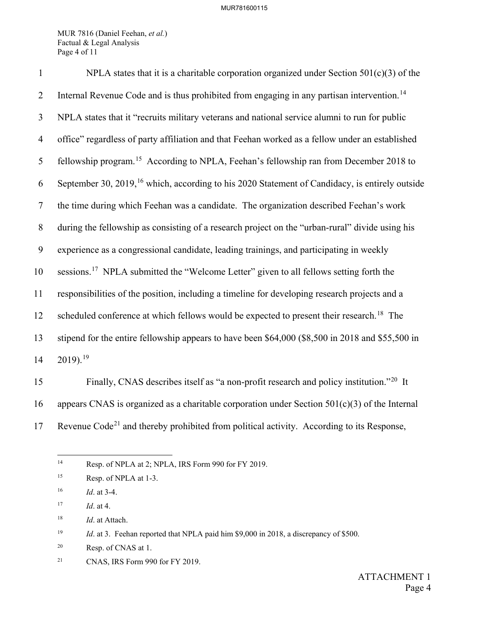MUR 7816 (Daniel Feehan, *et al.*) Factual & Legal Analysis Page 4 of 11

| $\mathbf{1}$   | NPLA states that it is a charitable corporation organized under Section $501(c)(3)$ of the                 |
|----------------|------------------------------------------------------------------------------------------------------------|
| $\overline{2}$ | Internal Revenue Code and is thus prohibited from engaging in any partisan intervention. <sup>14</sup>     |
| $\mathfrak{Z}$ | NPLA states that it "recruits military veterans and national service alumni to run for public              |
| $\overline{4}$ | office" regardless of party affiliation and that Feehan worked as a fellow under an established            |
| 5              | fellowship program. <sup>15</sup> According to NPLA, Feehan's fellowship ran from December 2018 to         |
| 6              | September 30, 2019, <sup>16</sup> which, according to his 2020 Statement of Candidacy, is entirely outside |
| $\overline{7}$ | the time during which Feehan was a candidate. The organization described Feehan's work                     |
| 8              | during the fellowship as consisting of a research project on the "urban-rural" divide using his            |
| 9              | experience as a congressional candidate, leading trainings, and participating in weekly                    |
| 10             | sessions. <sup>17</sup> NPLA submitted the "Welcome Letter" given to all fellows setting forth the         |
| 11             | responsibilities of the position, including a timeline for developing research projects and a              |
| 12             | scheduled conference at which fellows would be expected to present their research. <sup>18</sup> The       |
| 13             | stipend for the entire fellowship appears to have been \$64,000 (\$8,500 in 2018 and \$55,500 in           |
| 14             | $2019$ . <sup>19</sup>                                                                                     |
| 15             | Finally, CNAS describes itself as "a non-profit research and policy institution." <sup>20</sup> It         |

16 appears CNAS is organized as a charitable corporation under Section 501(c)(3) of the Internal

<span id="page-15-0"></span>17 Revenue  $Code<sup>21</sup>$  $Code<sup>21</sup>$  $Code<sup>21</sup>$  and thereby prohibited from political activity. According to its Response,

 $14\,$ Resp. of NPLA at 2; NPLA, IRS Form 990 for FY 2019.

<span id="page-15-1"></span><sup>15</sup> Resp. of NPLA at 1-3.

<span id="page-15-2"></span><sup>16</sup> *Id*. at 3-4.

<span id="page-15-3"></span><sup>17</sup> *Id*. at 4.

<span id="page-15-4"></span><sup>18</sup> *Id*. at Attach.

<span id="page-15-5"></span><sup>&</sup>lt;sup>19</sup> *Id.* at 3. Feehan reported that NPLA paid him \$9,000 in 2018, a discrepancy of \$500.

<span id="page-15-6"></span><sup>20</sup> Resp. of CNAS at 1.

<span id="page-15-7"></span><sup>21</sup> CNAS, IRS Form 990 for FY 2019.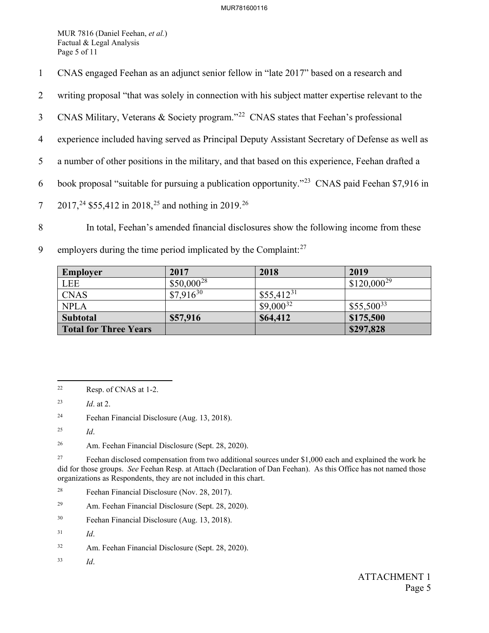MUR 7816 (Daniel Feehan, *et al.*) Factual & Legal Analysis Page 5 of 11

- 1 CNAS engaged Feehan as an adjunct senior fellow in "late 2017" based on a research and
- 2 writing proposal "that was solely in connection with his subject matter expertise relevant to the
- 3 CNAS Military, Veterans & Society program."<sup>[22](#page-16-0)</sup> CNAS states that Feehan's professional
- 4 experience included having served as Principal Deputy Assistant Secretary of Defense as well as
- 5 a number of other positions in the military, and that based on this experience, Feehan drafted a
- 6 book proposal "suitable for pursuing a publication opportunity."<sup>[23](#page-16-1)</sup> CNAS paid Feehan \$7,916 in
- 7 2017,<sup>24</sup> \$55,412 in 2018,<sup>[25](#page-16-3)</sup> and nothing in 2019.<sup>[26](#page-16-4)</sup>
- 8 In total, Feehan's amended financial disclosures show the following income from these
- 9 employers during the time period implicated by the Complaint: $27$

| <b>Employer</b>              | 2017            | 2018           | 2019            |
|------------------------------|-----------------|----------------|-----------------|
| <b>LEE</b>                   | $$50,000^{28}$$ |                | $$120,000^{29}$ |
| <b>CNAS</b>                  | $$7,916^{30}$   | $$55,412^{31}$ |                 |
| <b>NPLA</b>                  |                 | $$9,000^{32}$  | $$55,500^{33}$  |
| Subtotal                     | \$57,916        | \$64,412       | \$175,500       |
| <b>Total for Three Years</b> |                 |                | \$297,828       |

<span id="page-16-2"></span>24 Feehan Financial Disclosure (Aug. 13, 2018).

<span id="page-16-4"></span>26 Am. Feehan Financial Disclosure (Sept. 28, 2020).

<span id="page-16-5"></span><sup>27</sup> Feehan disclosed compensation from two additional sources under \$1,000 each and explained the work he did for those groups. *See* Feehan Resp. at Attach (Declaration of Dan Feehan). As this Office has not named those organizations as Respondents, they are not included in this chart.

- <span id="page-16-7"></span>29 Am. Feehan Financial Disclosure (Sept. 28, 2020).
- <span id="page-16-8"></span>30 Feehan Financial Disclosure (Aug. 13, 2018).
- <span id="page-16-9"></span>31 *Id*.
- <span id="page-16-10"></span>32 Am. Feehan Financial Disclosure (Sept. 28, 2020).
- <span id="page-16-11"></span>33 *Id*.

<span id="page-16-0"></span> $\overline{a}$ 22 Resp. of CNAS at 1-2.

<span id="page-16-1"></span><sup>23</sup> *Id*. at 2.

<span id="page-16-3"></span><sup>25</sup> *Id*.

<span id="page-16-6"></span><sup>28</sup> Feehan Financial Disclosure (Nov. 28, 2017).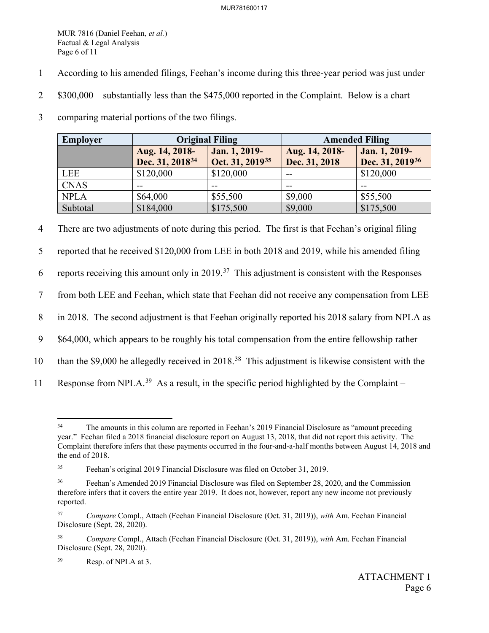MUR 7816 (Daniel Feehan, *et al.*) Factual & Legal Analysis Page 6 of 11

- 1 According to his amended filings, Feehan's income during this three-year period was just under
- 2 \$300,000 substantially less than the \$475,000 reported in the Complaint. Below is a chart
- 3 comparing material portions of the two filings.

| Employer    | <b>Original Filing</b>                        |                                              | <b>Amended Filing</b>           |                                              |
|-------------|-----------------------------------------------|----------------------------------------------|---------------------------------|----------------------------------------------|
|             | Aug. 14, 2018-<br>Dec. 31, 2018 <sup>34</sup> | Jan. 1, 2019-<br>Oct. 31, 2019 <sup>35</sup> | Aug. 14, 2018-<br>Dec. 31, 2018 | Jan. 1, 2019-<br>Dec. 31, 2019 <sup>36</sup> |
| LEE         | \$120,000                                     | \$120,000                                    | $- -$                           | \$120,000                                    |
| <b>CNAS</b> | --                                            |                                              | --                              |                                              |
| <b>NPLA</b> | \$64,000                                      | \$55,500                                     | \$9,000                         | \$55,500                                     |
| Subtotal    | \$184,000                                     | \$175,500                                    | \$9,000                         | \$175,500                                    |

4 There are two adjustments of note during this period. The first is that Feehan's original filing

5 reported that he received \$120,000 from LEE in both 2018 and 2019, while his amended filing

6 reports receiving this amount only in 2019.<sup>37</sup> This adjustment is consistent with the Responses

7 from both LEE and Feehan, which state that Feehan did not receive any compensation from LEE

8 in 2018. The second adjustment is that Feehan originally reported his 2018 salary from NPLA as

9 \$64,000, which appears to be roughly his total compensation from the entire fellowship rather

- 10 than the \$9,000 he allegedly received in 2018.<sup>[38](#page-17-4)</sup> This adjustment is likewise consistent with the
- <span id="page-17-0"></span>11 Response from NPLA.<sup>[39](#page-17-5)</sup> As a result, in the specific period highlighted by the Complaint –

 $34$ The amounts in this column are reported in Feehan's 2019 Financial Disclosure as "amount preceding year." Feehan filed a 2018 financial disclosure report on August 13, 2018, that did not report this activity. The Complaint therefore infers that these payments occurred in the four-and-a-half months between August 14, 2018 and the end of 2018.

<span id="page-17-1"></span><sup>35</sup> Feehan's original 2019 Financial Disclosure was filed on October 31, 2019.

<span id="page-17-2"></span><sup>36</sup> Feehan's Amended 2019 Financial Disclosure was filed on September 28, 2020, and the Commission therefore infers that it covers the entire year 2019. It does not, however, report any new income not previously reported.

<span id="page-17-3"></span><sup>37</sup> *Compare* Compl., Attach (Feehan Financial Disclosure (Oct. 31, 2019)), *with* Am. Feehan Financial Disclosure (Sept. 28, 2020).

<span id="page-17-4"></span><sup>38</sup> *Compare* Compl., Attach (Feehan Financial Disclosure (Oct. 31, 2019)), *with* Am. Feehan Financial Disclosure (Sept. 28, 2020).

<span id="page-17-5"></span><sup>39</sup> Resp. of NPLA at 3.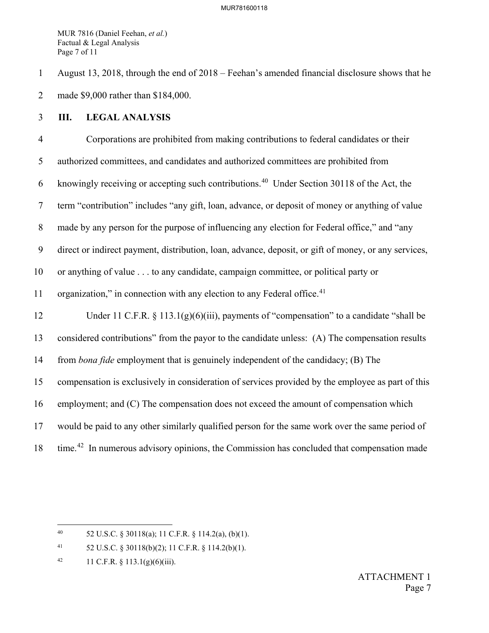MUR 7816 (Daniel Feehan, *et al.*) Factual & Legal Analysis Page 7 of 11

1 August 13, 2018, through the end of 2018 – Feehan's amended financial disclosure shows that he 2 made \$9,000 rather than \$184,000.

## 3 **III. LEGAL ANALYSIS**

4 Corporations are prohibited from making contributions to federal candidates or their 5 authorized committees, and candidates and authorized committees are prohibited from 6 knowingly receiving or accepting such contributions.<sup>[40](#page-18-0)</sup> Under Section 30118 of the Act, the 7 term "contribution" includes "any gift, loan, advance, or deposit of money or anything of value 8 made by any person for the purpose of influencing any election for Federal office," and "any 9 direct or indirect payment, distribution, loan, advance, deposit, or gift of money, or any services, 10 or anything of value . . . to any candidate, campaign committee, or political party or 11 organization," in connection with any election to any Federal office. $41$ 12 Under 11 C.F.R. § 113.1(g)(6)(iii), payments of "compensation" to a candidate "shall be 13 considered contributions" from the payor to the candidate unless: (A) The compensation results 14 from *bona fide* employment that is genuinely independent of the candidacy; (B) The 15 compensation is exclusively in consideration of services provided by the employee as part of this 16 employment; and (C) The compensation does not exceed the amount of compensation which 17 would be paid to any other similarly qualified person for the same work over the same period of 18 time.<sup>[42](#page-18-2)</sup> In numerous advisory opinions, the Commission has concluded that compensation made

<span id="page-18-0"></span> $40\,$ 40 52 U.S.C. § 30118(a); 11 C.F.R. § 114.2(a), (b)(1).

<span id="page-18-1"></span><sup>41 52</sup> U.S.C. § 30118(b)(2); 11 C.F.R. § 114.2(b)(1).

<span id="page-18-2"></span><sup>42 11</sup> C.F.R.  $\S$  113.1(g)(6)(iii).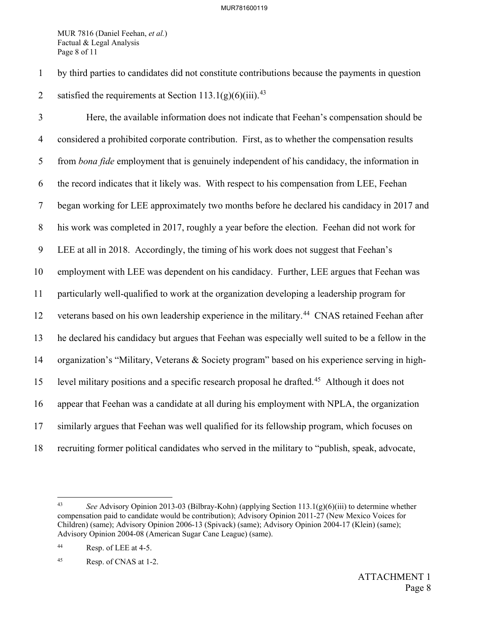MUR 7816 (Daniel Feehan, *et al.*) Factual & Legal Analysis Page 8 of 11

1 by third parties to candidates did not constitute contributions because the payments in question 2 satisfied the requirements at Section  $113.1(g)(6)(iii)$ .<sup>[43](#page-19-0)</sup>

3 Here, the available information does not indicate that Feehan's compensation should be 4 considered a prohibited corporate contribution. First, as to whether the compensation results 5 from *bona fide* employment that is genuinely independent of his candidacy, the information in 6 the record indicates that it likely was. With respect to his compensation from LEE, Feehan 7 began working for LEE approximately two months before he declared his candidacy in 2017 and 8 his work was completed in 2017, roughly a year before the election. Feehan did not work for 9 LEE at all in 2018. Accordingly, the timing of his work does not suggest that Feehan's 10 employment with LEE was dependent on his candidacy. Further, LEE argues that Feehan was 11 particularly well-qualified to work at the organization developing a leadership program for 12 veterans based on his own leadership experience in the military.<sup>[44](#page-19-1)</sup> CNAS retained Feehan after 13 he declared his candidacy but argues that Feehan was especially well suited to be a fellow in the 14 organization's "Military, Veterans & Society program" based on his experience serving in high-15 level military positions and a specific research proposal he drafted.<sup>[45](#page-19-2)</sup> Although it does not 16 appear that Feehan was a candidate at all during his employment with NPLA, the organization 17 similarly argues that Feehan was well qualified for its fellowship program, which focuses on 18 recruiting former political candidates who served in the military to "publish, speak, advocate,

<span id="page-19-0"></span><sup>43</sup> 43 *See* Advisory Opinion 2013-03 (Bilbray-Kohn) (applying Section 113.1(g)(6)(iii) to determine whether compensation paid to candidate would be contribution); Advisory Opinion 2011-27 (New Mexico Voices for Children) (same); Advisory Opinion 2006-13 (Spivack) (same); Advisory Opinion 2004-17 (Klein) (same); Advisory Opinion 2004-08 (American Sugar Cane League) (same).

<span id="page-19-1"></span><sup>44</sup> Resp. of LEE at 4-5.

<span id="page-19-2"></span><sup>45</sup> Resp. of CNAS at 1-2.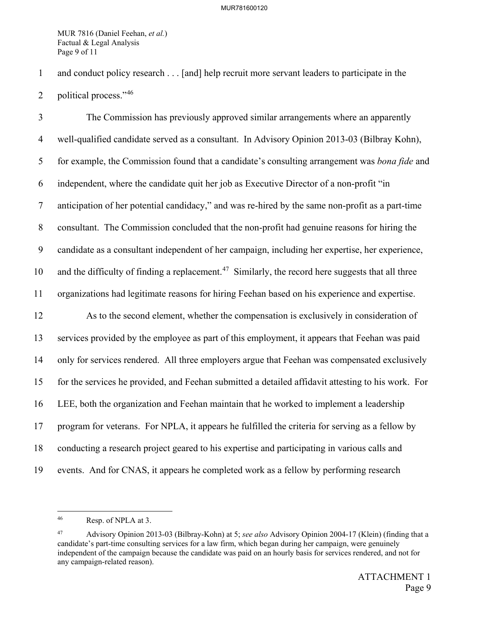MUR 7816 (Daniel Feehan, *et al.*) Factual & Legal Analysis Page 9 of 11

1 and conduct policy research . . . [and] help recruit more servant leaders to participate in the

2 political process."<sup>[46](#page-20-0)</sup>

3 The Commission has previously approved similar arrangements where an apparently 4 well-qualified candidate served as a consultant. In Advisory Opinion 2013-03 (Bilbray Kohn), 5 for example, the Commission found that a candidate's consulting arrangement was *bona fide* and 6 independent, where the candidate quit her job as Executive Director of a non-profit "in 7 anticipation of her potential candidacy," and was re-hired by the same non-profit as a part-time 8 consultant. The Commission concluded that the non-profit had genuine reasons for hiring the 9 candidate as a consultant independent of her campaign, including her expertise, her experience, 10 and the difficulty of finding a replacement.<sup>[47](#page-20-1)</sup> Similarly, the record here suggests that all three 11 organizations had legitimate reasons for hiring Feehan based on his experience and expertise. 12 As to the second element, whether the compensation is exclusively in consideration of 13 services provided by the employee as part of this employment, it appears that Feehan was paid 14 only for services rendered. All three employers argue that Feehan was compensated exclusively 15 for the services he provided, and Feehan submitted a detailed affidavit attesting to his work. For 16 LEE, both the organization and Feehan maintain that he worked to implement a leadership 17 program for veterans. For NPLA, it appears he fulfilled the criteria for serving as a fellow by 18 conducting a research project geared to his expertise and participating in various calls and 19 events. And for CNAS, it appears he completed work as a fellow by performing research

 $\overline{a}$ 

<span id="page-20-0"></span><sup>46</sup> Resp. of NPLA at 3.

<span id="page-20-1"></span><sup>47</sup> Advisory Opinion 2013-03 (Bilbray-Kohn) at 5; *see also* Advisory Opinion 2004-17 (Klein) (finding that a candidate's part-time consulting services for a law firm, which began during her campaign, were genuinely independent of the campaign because the candidate was paid on an hourly basis for services rendered, and not for any campaign-related reason).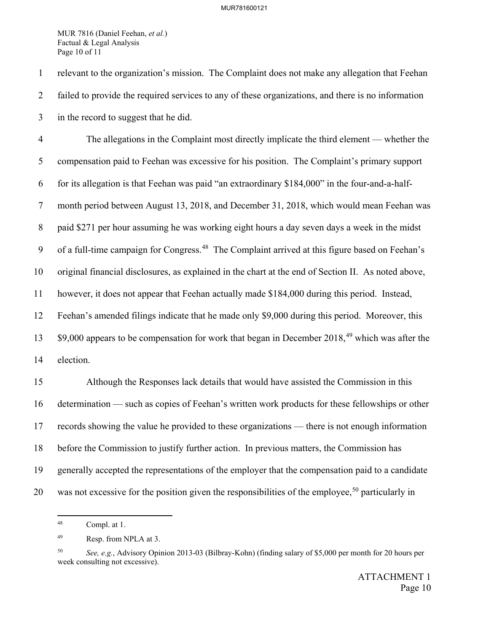MUR 7816 (Daniel Feehan, *et al.*) Factual & Legal Analysis Page 10 of 11

1 relevant to the organization's mission. The Complaint does not make any allegation that Feehan 2 failed to provide the required services to any of these organizations, and there is no information 3 in the record to suggest that he did.

4 The allegations in the Complaint most directly implicate the third element — whether the 5 compensation paid to Feehan was excessive for his position. The Complaint's primary support 6 for its allegation is that Feehan was paid "an extraordinary \$184,000" in the four-and-a-half-7 month period between August 13, 2018, and December 31, 2018, which would mean Feehan was 8 paid \$271 per hour assuming he was working eight hours a day seven days a week in the midst 9 of a full-time campaign for Congress.<sup>[48](#page-21-0)</sup> The Complaint arrived at this figure based on Feehan's 10 original financial disclosures, as explained in the chart at the end of Section II. As noted above, 11 however, it does not appear that Feehan actually made \$184,000 during this period. Instead, 12 Feehan's amended filings indicate that he made only \$9,000 during this period. Moreover, this  $13\qquad$  \$9,000 appears to be compensation for work that began in December 2018,<sup>49</sup> which was after the 14 election. 15 Although the Responses lack details that would have assisted the Commission in this 16 determination — such as copies of Feehan's written work products for these fellowships or other 17 records showing the value he provided to these organizations — there is not enough information 18 before the Commission to justify further action. In previous matters, the Commission has 19 generally accepted the representations of the employer that the compensation paid to a candidate

<span id="page-21-1"></span><span id="page-21-0"></span>20 was not excessive for the position given the responsibilities of the employee,<sup>[50](#page-21-2)</sup> particularly in

 $48\,$ Compl. at 1.

<sup>49</sup> Resp. from NPLA at 3.

<span id="page-21-2"></span><sup>50</sup> *See, e.g.*, Advisory Opinion 2013-03 (Bilbray-Kohn) (finding salary of \$5,000 per month for 20 hours per week consulting not excessive).